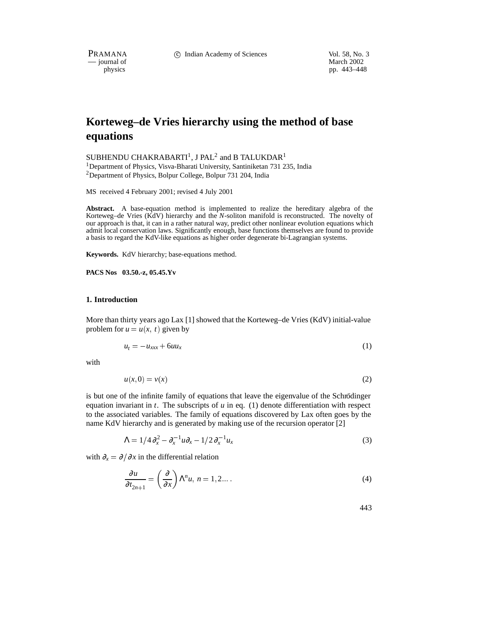PRAMANA c Indian Academy of Sciences Vol. 58, No. 3

 $-$  journal of physics

pp. 443–448

# **Korteweg–de Vries hierarchy using the method of base equations**

SUBHENDU CHAKRABARTI<sup>1</sup>, J PAL<sup>2</sup> and B TALUKDAR<sup>1</sup> <sup>1</sup>Department of Physics, Visva-Bharati University, Santiniketan 731 235, India <sup>2</sup>Department of Physics, Bolpur College, Bolpur 731 204, India

MS received 4 February 2001; revised 4 July 2001

**Abstract.** A base-equation method is implemented to realize the hereditary algebra of the Korteweg–de Vries (KdV) hierarchy and the *N*-soliton manifold is reconstructed. The novelty of our approach is that, it can in a rather natural way, predict other nonlinear evolution equations which admit local conservation laws. Significantly enough, base functions themselves are found to provide a basis to regard the KdV-like equations as higher order degenerate bi-Lagrangian systems.

**Keywords.** KdV hierarchy; base-equations method.

**PACS Nos 03.50.-z, 05.45.Yv**

#### **1. Introduction**

More than thirty years ago Lax [1] showed that the Korteweg–de Vries (KdV) initial-value problem for  $u = u(x, t)$  given by

$$
u_t = -u_{xxx} + 6uu_x \tag{1}
$$

with

$$
u(x,0) = v(x) \tag{2}
$$

is but one of the infinite family of equations that leave the eigenvalue of the Schrödinger equation invariant in  $t$ . The subscripts of  $u$  in eq. (1) denote differentiation with respect to the associated variables. The family of equations discovered by Lax often goes by the name KdV hierarchy and is generated by making use of the recursion operator [2]

$$
\Lambda = 1/4 \partial_x^2 - \partial_x^{-1} u \partial_x - 1/2 \partial_x^{-1} u_x \tag{3}
$$

with  $\partial_x = \partial/\partial x$  in the differential relation

$$
\frac{\partial u}{\partial t_{2n+1}} = \left(\frac{\partial}{\partial x}\right) \Lambda^n u, \ n = 1, 2... \tag{4}
$$

443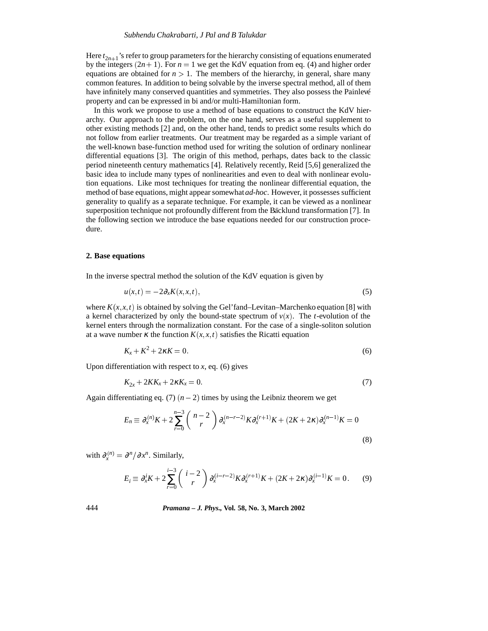#### *Subhendu Chakrabarti, J Pal and B Talukdar*

Here  $t_{2n+1}$ 's refer to group parameters for the hierarchy consisting of equations enumerated by the integers  $(2n + 1)$ . For  $n = 1$  we get the KdV equation from eq. (4) and higher order equations are obtained for  $n > 1$ . The members of the hierarchy, in general, share many common features. In addition to being solvable by the inverse spectral method, all of them have infinitely many conserved quantities and symmetries. They also possess the Painlevé property and can be expressed in bi and/or multi-Hamiltonian form.

In this work we propose to use a method of base equations to construct the KdV hierarchy. Our approach to the problem, on the one hand, serves as a useful supplement to other existing methods [2] and, on the other hand, tends to predict some results which do not follow from earlier treatments. Our treatment may be regarded as a simple variant of the well-known base-function method used for writing the solution of ordinary nonlinear differential equations [3]. The origin of this method, perhaps, dates back to the classic period nineteenth century mathematics [4]. Relatively recently, Reid [5,6] generalized the basic idea to include many types of nonlinearities and even to deal with nonlinear evolution equations. Like most techniques for treating the nonlinear differential equation, the method of base equations, might appear somewhat*ad-hoc*. However, it possesses sufficient generality to qualify as a separate technique. For example, it can be viewed as a nonlinear superposition technique not profoundly different from the Bäcklund transformation [7]. In the following section we introduce the base equations needed for our construction procedure.

## **2. Base equations**

In the inverse spectral method the solution of the KdV equation is given by

$$
u(x,t) = -2\partial_x K(x,x,t),\tag{5}
$$

where  $K(x, x, t)$  is obtained by solving the Gel'fand–Levitan–Marchenko equation [8] with a kernel characterized by only the bound-state spectrum of  $v(x)$ . The *t*-evolution of the kernel enters through the normalization constant. For the case of a single-soliton solution at a wave number  $\kappa$  the function  $K(x, x, t)$  satisfies the Ricatti equation

$$
K_x + K^2 + 2\kappa K = 0. \tag{6}
$$

Upon differentiation with respect to  $x$ , eq. (6) gives

$$
K_{2x} + 2KK_x + 2\kappa K_x = 0. \tag{7}
$$

Again differentiating eq. (7)  $(n - 2)$  times by using the Leibniz theorem we get

$$
E_n \equiv \partial_x^{(n)} K + 2 \sum_{r=0}^{n-3} {n-2 \choose r} \partial_x^{(n-r-2)} K \partial_x^{(r+1)} K + (2K + 2\kappa) \partial_x^{(n-1)} K = 0
$$
\n(8)

with  $\partial_x^{(n)} = \partial^n / \partial x^n$ . Similarly,

$$
E_i \equiv \partial_x^i K + 2 \sum_{r=0}^{i-3} \binom{i-2}{r} \partial_x^{(i-r-2)} K \partial_x^{(r+1)} K + (2K + 2\kappa) \partial_x^{(i-1)} K = 0. \tag{9}
$$

## 444 *Pramana – J. Phys.,* **Vol. 58, No. 3, March 2002**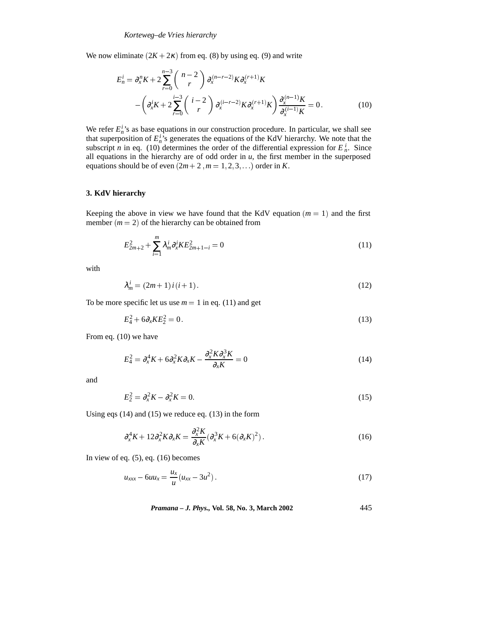We now eliminate  $(2K + 2\kappa)$  from eq. (8) by using eq. (9) and write

$$
E_n^i = \partial_x^n K + 2 \sum_{r=0}^{n-3} {n-2 \choose r} \partial_x^{(n-r-2)} K \partial_x^{(r+1)} K - \left( \partial_x^i K + 2 \sum_{r=0}^{i-3} {i-2 \choose r} \partial_x^{(i-r-2)} K \partial_x^{(r+1)} K \right) \frac{\partial_x^{(n-1)} K}{\partial_x^{(i-1)} K} = 0.
$$
 (10)

We refer  $E_n^i$ 's as base equations in our construction procedure. In particular, we shall see that superposition of  $E_n^{i}$ 's generates the equations of the KdV hierarchy. We note that the subscript *n* in eq. (10) determines the order of the differential expression for  $E_n^i$ . Since all equations in the hierarchy are of odd order in  $u$ , the first member in the superposed equations should be of even  $(2m + 2, m = 1, 2, 3, \ldots)$  order in *K*.

## **3. KdV hierarchy**

Keeping the above in view we have found that the KdV equation  $(m = 1)$  and the first member  $(m = 2)$  of the hierarchy can be obtained from

$$
E_{2m+2}^2 + \sum_{i=1}^m \lambda_m^i \partial_x^i K E_{2m+1-i}^2 = 0
$$
\n(11)

with

$$
\lambda_m^i = (2m+1)i(i+1). \tag{12}
$$

To be more specific let us use  $m = 1$  in eq. (11) and get

$$
E_4^2 + 6\partial_x KE_2^2 = 0\tag{13}
$$

From eq. (10) we have

$$
E_4^2 = \partial_x^4 K + 6 \partial_x^2 K \partial_x K - \frac{\partial_x^2 K \partial_x^3 K}{\partial_x K} = 0
$$
\n(14)

and

$$
E_2^2 = \partial_x^2 K - \partial_x^2 K = 0. \tag{15}
$$

Using eqs (14) and (15) we reduce eq. (13) in the form

$$
\partial_x^4 K + 12 \partial_x^2 K \partial_x K = \frac{\partial_x^2 K}{\partial_x K} (\partial_x^3 K + 6(\partial_x K)^2). \tag{16}
$$

In view of eq.  $(5)$ , eq.  $(16)$  becomes

$$
u_{xxx} - 6uu_x = \frac{u_x}{u}(u_{xx} - 3u^2).
$$
 (17)

*Pramana – J. Phys.,* **Vol. 58, No. 3, March 2002** 445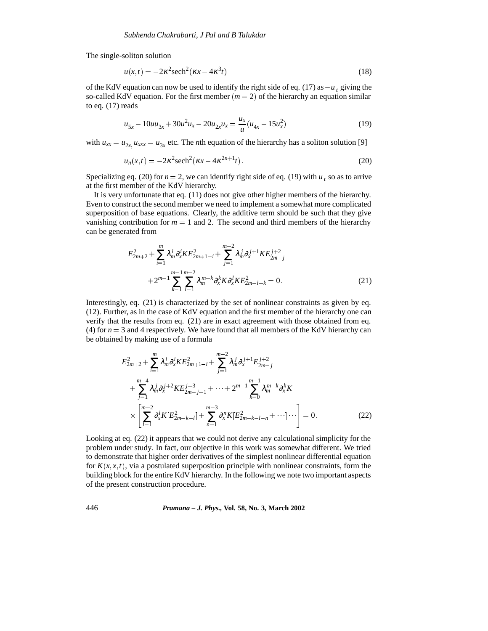The single-soliton solution

$$
u(x,t) = -2\kappa^2 \mathrm{sech}^2(\kappa x - 4\kappa^3 t)
$$
\n(18)

of the KdV equation can now be used to identify the right side of eq. (17) as  $-u_t$  giving the so-called KdV equation. For the first member  $(m = 2)$  of the hierarchy an equation similar to eq. (17) reads

$$
u_{5x} - 10uu_{3x} + 30u^2u_x - 20u_{2x}u_x = \frac{u_x}{u}(u_{4x} - 15u_x^2)
$$
 (19)

with  $u_{xx} = u_{2x}$ ,  $u_{xxx} = u_{3x}$  etc. The *n*th equation of the hierarchy has a soliton solution [9]

$$
u_n(x,t) = -2\kappa^2 \mathrm{sech}^2(\kappa x - 4\kappa^{2n+1}t). \tag{20}
$$

Specializing eq. (20) for  $n = 2$ , we can identify right side of eq. (19) with  $u_t$ , so as to arrive at the first member of the KdV hierarchy.

It is very unfortunate that eq. (11) does not give other higher members of the hierarchy. Even to construct the second member we need to implement a somewhat more complicated superposition of base equations. Clearly, the additive term should be such that they give vanishing contribution for  $m = 1$  and 2. The second and third members of the hierarchy can be generated from

$$
E_{2m+2}^{2} + \sum_{i=1}^{m} \lambda_{m}^{i} \partial_{x}^{i} K E_{2m+1-i}^{2} + \sum_{j=1}^{m-2} \lambda_{m}^{j} \partial_{x}^{j+1} K E_{2m-j}^{j+2} + 2^{m-1} \sum_{k=1}^{m-1} \sum_{l=1}^{m-2} \lambda_{m}^{m-k} \partial_{x}^{k} K \partial_{x}^{l} K E_{2m-l-k}^{2} = 0.
$$
 (21)

Interestingly, eq. (21) is characterized by the set of nonlinear constraints as given by eq. (12). Further, as in the case of KdV equation and the first member of the hierarchy one can verify that the results from eq. (21) are in exact agreement with those obtained from eq. (4) for  $n = 3$  and 4 respectively. We have found that all members of the KdV hierarchy can be obtained by making use of a formula

$$
E_{2m+2}^{2} + \sum_{i=1}^{m} \lambda_{m}^{i} \partial_{x}^{i} K E_{2m+1-i}^{2} + \sum_{j=1}^{m-2} \lambda_{m}^{j} \partial_{x}^{j+1} E_{2m-j}^{j+2} + \sum_{j=1}^{m-4} \lambda_{m}^{j} \partial_{x}^{j+2} K E_{2m-j-1}^{j+3} + \dots + 2^{m-1} \sum_{k=0}^{m-1} \lambda_{m}^{m-k} \partial_{x}^{k} K + \sum_{l=1}^{m-2} \partial_{x}^{l} K [E_{2m-k-l}^{2}] + \sum_{n=1}^{m-3} \partial_{x}^{n} K [E_{2m-k-l-n}^{2} + \dots] - \Big] = 0.
$$
 (22)

Looking at eq. (22) it appears that we could not derive any calculational simplicity for the problem under study. In fact, our objective in this work was somewhat different. We tried to demonstrate that higher order derivatives of the simplest nonlinear differential equation for  $K(x, x, t)$ , via a postulated superposition principle with nonlinear constraints, form the building block for the entire KdV hierarchy. In the following we note two important aspects of the present construction procedure.

## 446 *Pramana – J. Phys.,* **Vol. 58, No. 3, March 2002**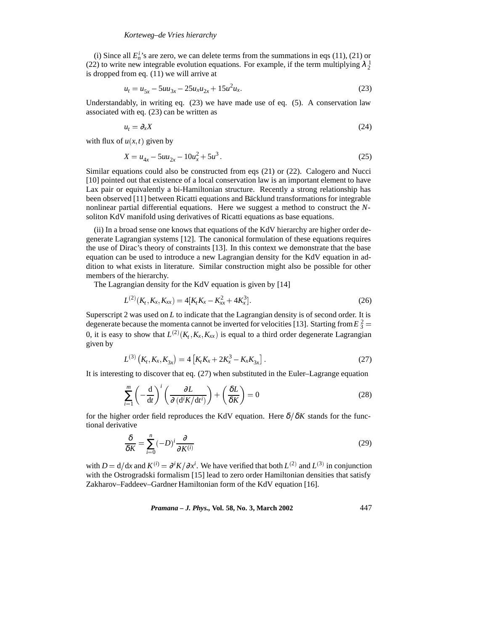(i) Since all  $E_n^i$ 's are zero, we can delete terms from the summations in eqs (11), (21) or (22) to write new integrable evolution equations. For example, if the term multiplying  $\lambda_2^1$ is dropped from eq. (11) we will arrive at

$$
u_t = u_{5x} - 5uu_{3x} - 25u_xu_{2x} + 15u^2u_x.
$$
 (23)

Understandably, in writing eq.  $(23)$  we have made use of eq.  $(5)$ . A conservation law associated with eq. (23) can be written as

$$
u_t = \partial_x X \tag{24}
$$

with flux of  $u(x, t)$  given by

$$
X = u_{4x} - 5uu_{2x} - 10u_x^2 + 5u^3. \tag{25}
$$

Similar equations could also be constructed from eqs (21) or (22). Calogero and Nucci [10] pointed out that existence of a local conservation law is an important element to have Lax pair or equivalently a bi-Hamiltonian structure. Recently a strong relationship has been observed [11] between Ricatti equations and Bäcklund transformations for integrable nonlinear partial differential equations. Here we suggest a method to construct the *N*soliton KdV manifold using derivatives of Ricatti equations as base equations.

(ii) In a broad sense one knows that equations of the KdV hierarchy are higher order degenerate Lagrangian systems [12]. The canonical formulation of these equations requires the use of Dirac's theory of constraints [13]. In this context we demonstrate that the base equation can be used to introduce a new Lagrangian density for the KdV equation in addition to what exists in literature. Similar construction might also be possible for other members of the hierarchy.

The Lagrangian density for the KdV equation is given by [14]

$$
L^{(2)}(K_t, K_x, K_{xx}) = 4[K_t K_x - K_{xx}^2 + 4K_x^3].
$$
\n(26)

Superscript 2 was used on *L* to indicate that the Lagrangian density is of second order. It is degenerate because the momenta cannot be inverted for velocities [13]. Starting from  $E_3^2 =$ 0, it is easy to show that  $L^{(2)}(K_t, K_t, K_{xx})$  is equal to a third order degenerate Lagrangian given by

$$
L^{(3)}\left(K_t, K_x, K_{3x}\right) = 4\left[K_t K_x + 2K_x^3 - K_x K_{3x}\right].\tag{27}
$$

It is interesting to discover that eq. (27) when substituted in the Euler–Lagrange equation

$$
\sum_{i=1}^{m} \left( -\frac{\mathrm{d}}{\mathrm{d}t} \right)^i \left( \frac{\partial L}{\partial \left( \mathrm{d}^i K / \mathrm{d}t^i \right)} \right) + \left( \frac{\delta L}{\delta K} \right) = 0 \tag{28}
$$

for the higher order field reproduces the KdV equation. Here  $\delta/\delta K$  stands for the functional derivative

$$
\frac{\delta}{\delta K} = \sum_{i=0}^{n} (-D)^i \frac{\partial}{\partial K^{(i)}} \tag{29}
$$

with  $D = d/dx$  and  $K^{(i)} = \partial^i K/\partial x^i$ . We have verified that both  $L^{(2)}$  and  $L^{(3)}$  in conjunction with the Ostrogradski formalism [15] lead to zero order Hamiltonian densities that satisfy Zakharov–Faddeev–Gardner Hamiltonian form of the KdV equation [16].

*Pramana – J. Phys.,* **Vol. 58, No. 3, March 2002** 447